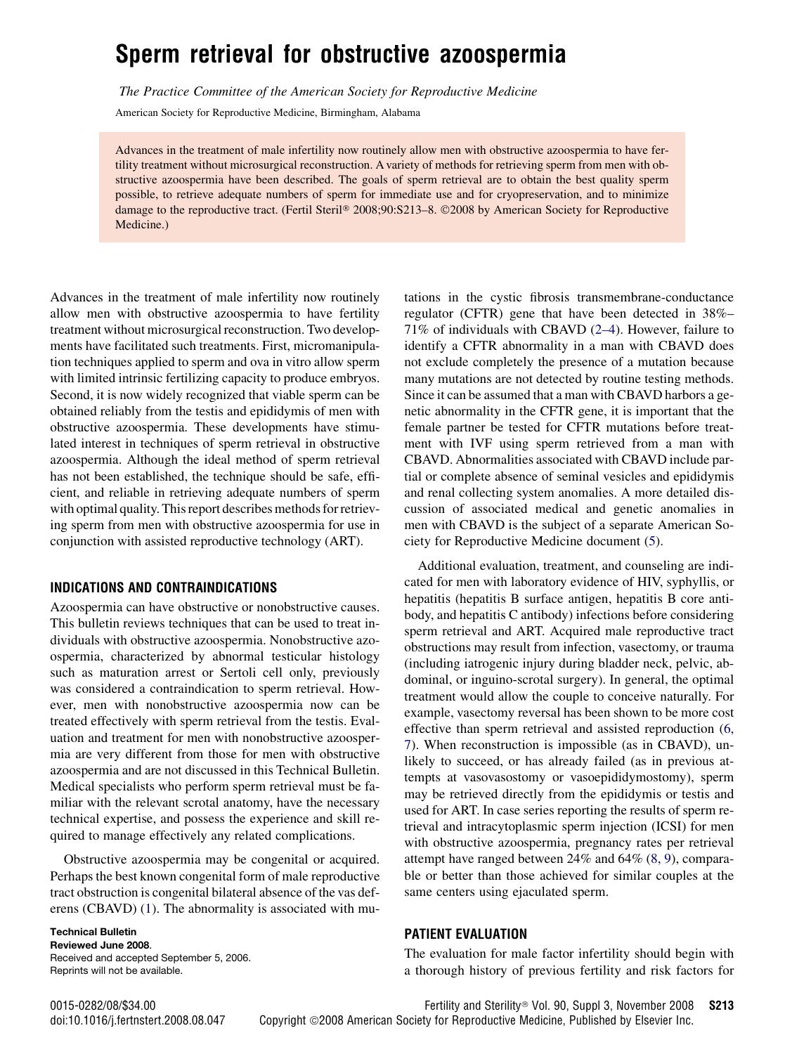# Sperm retrieval for obstructive azoospermia

The Practice Committee of the American Society for Reproductive Medicine

American Society for Reproductive Medicine, Birmingham, Alabama

Advances in the treatment of male infertility now routinely allow men with obstructive azoospermia to have fertility treatment without microsurgical reconstruction. A variety of methods for retrieving sperm from men with obstructive azoospermia have been described. The goals of sperm retrieval are to obtain the best quality sperm possible, to retrieve adequate numbers of sperm for immediate use and for cryopreservation, and to minimize damage to the reproductive tract. (Fertil Steril® 2008;90:S213-8. ©2008 by American Society for Reproductive Medicine.)

Advances in the treatment of male infertility now routinely allow men with obstructive azoospermia to have fertility treatment without microsurgical reconstruction. Two developments have facilitated such treatments. First, micromanipulation techniques applied to sperm and ova in vitro allow sperm with limited intrinsic fertilizing capacity to produce embryos. Second, it is now widely recognized that viable sperm can be obtained reliably from the testis and epididymis of men with obstructive azoospermia. These developments have stimulated interest in techniques of sperm retrieval in obstructive azoospermia. Although the ideal method of sperm retrieval has not been established, the technique should be safe, efficient, and reliable in retrieving adequate numbers of sperm with optimal quality. This report describes methods for retrieving sperm from men with obstructive azoospermia for use in conjunction with assisted reproductive technology (ART).

#### INDICATIONS AND CONTRAINDICATIONS

Azoospermia can have obstructive or nonobstructive causes. This bulletin reviews techniques that can be used to treat individuals with obstructive azoospermia. Nonobstructive azoospermia, characterized by abnormal testicular histology such as maturation arrest or Sertoli cell only, previously was considered a contraindication to sperm retrieval. However, men with nonobstructive azoospermia now can be treated effectively with sperm retrieval from the testis. Evaluation and treatment for men with nonobstructive azoospermia are very different from those for men with obstructive azoospermia and are not discussed in this Technical Bulletin. Medical specialists who perform sperm retrieval must be familiar with the relevant scrotal anatomy, have the necessary technical expertise, and possess the experience and skill required to manage effectively any related complications.

Obstructive azoospermia may be congenital or acquired. Perhaps the best known congenital form of male reproductive tract obstruction is congenital bilateral absence of the vas deferens (CBAVD) ([1\)](#page-4-0). The abnormality is associated with mu-

Technical Bulletin Reviewed June 2008. Received and accepted September 5, 2006. Reprints will not be available.

tations in the cystic fibrosis transmembrane-conductance regulator (CFTR) gene that have been detected in 38%– 71% of individuals with CBAVD ([2–4\)](#page-5-0). However, failure to identify a CFTR abnormality in a man with CBAVD does not exclude completely the presence of a mutation because many mutations are not detected by routine testing methods. Since it can be assumed that a man with CBAVD harbors a genetic abnormality in the CFTR gene, it is important that the female partner be tested for CFTR mutations before treatment with IVF using sperm retrieved from a man with CBAVD. Abnormalities associated with CBAVD include partial or complete absence of seminal vesicles and epididymis and renal collecting system anomalies. A more detailed discussion of associated medical and genetic anomalies in men with CBAVD is the subject of a separate American Society for Reproductive Medicine document [\(5](#page-5-0)).

Additional evaluation, treatment, and counseling are indicated for men with laboratory evidence of HIV, syphyllis, or hepatitis (hepatitis B surface antigen, hepatitis B core antibody, and hepatitis C antibody) infections before considering sperm retrieval and ART. Acquired male reproductive tract obstructions may result from infection, vasectomy, or trauma (including iatrogenic injury during bladder neck, pelvic, abdominal, or inguino-scrotal surgery). In general, the optimal treatment would allow the couple to conceive naturally. For example, vasectomy reversal has been shown to be more cost effective than sperm retrieval and assisted reproduction [\(6,](#page-5-0) [7\)](#page-5-0). When reconstruction is impossible (as in CBAVD), unlikely to succeed, or has already failed (as in previous attempts at vasovasostomy or vasoepididymostomy), sperm may be retrieved directly from the epididymis or testis and used for ART. In case series reporting the results of sperm retrieval and intracytoplasmic sperm injection (ICSI) for men with obstructive azoospermia, pregnancy rates per retrieval attempt have ranged between 24% and 64% ([8, 9\)](#page-5-0), comparable or better than those achieved for similar couples at the same centers using ejaculated sperm.

#### PATIENT EVALUATION

The evaluation for male factor infertility should begin with a thorough history of previous fertility and risk factors for

0015-0282/08/\$34.00 Fertility and Sterility Vol. 90, Suppl 3, November 2008 S213 doi:10.1016/j.fertnstert.2008.08.047 Copyright ©2008 American Society for Reproductive Medicine, Published by Elsevier Inc.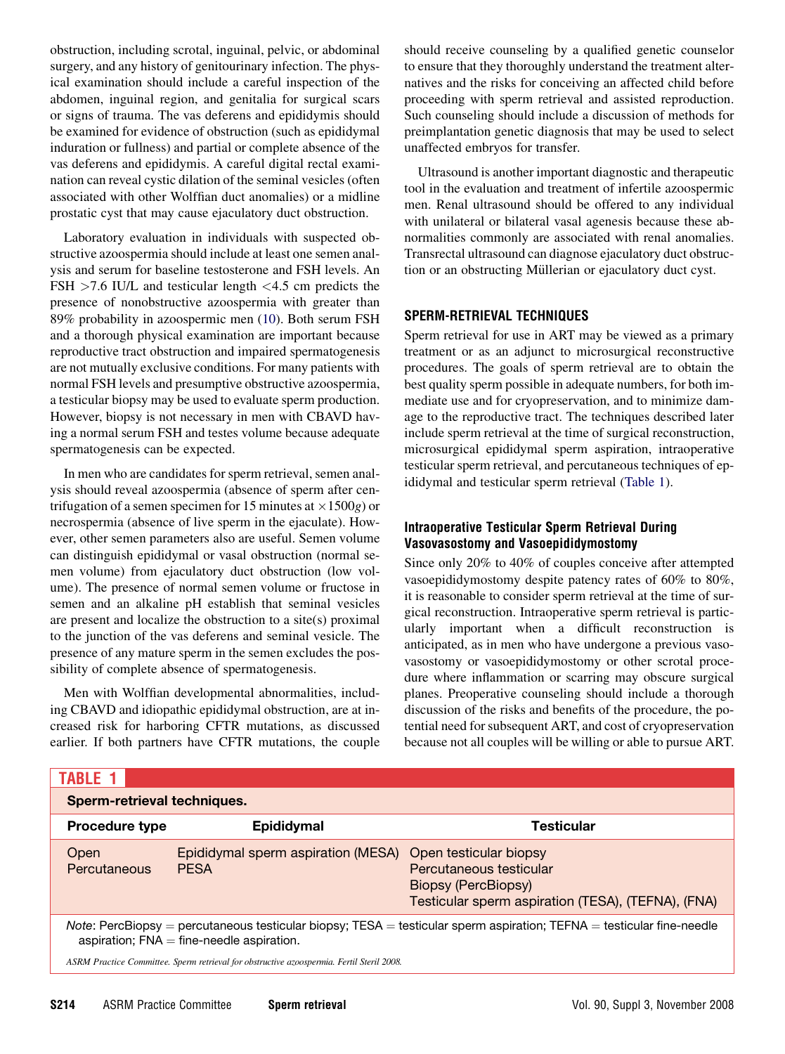obstruction, including scrotal, inguinal, pelvic, or abdominal surgery, and any history of genitourinary infection. The physical examination should include a careful inspection of the abdomen, inguinal region, and genitalia for surgical scars or signs of trauma. The vas deferens and epididymis should be examined for evidence of obstruction (such as epididymal induration or fullness) and partial or complete absence of the vas deferens and epididymis. A careful digital rectal examination can reveal cystic dilation of the seminal vesicles (often associated with other Wolffian duct anomalies) or a midline prostatic cyst that may cause ejaculatory duct obstruction.

Laboratory evaluation in individuals with suspected obstructive azoospermia should include at least one semen analysis and serum for baseline testosterone and FSH levels. An FSH  $>7.6$  IU/L and testicular length  $<4.5$  cm predicts the presence of nonobstructive azoospermia with greater than 89% probability in azoospermic men [\(10](#page-5-0)). Both serum FSH and a thorough physical examination are important because reproductive tract obstruction and impaired spermatogenesis are not mutually exclusive conditions. For many patients with normal FSH levels and presumptive obstructive azoospermia, a testicular biopsy may be used to evaluate sperm production. However, biopsy is not necessary in men with CBAVD having a normal serum FSH and testes volume because adequate spermatogenesis can be expected.

In men who are candidates for sperm retrieval, semen analysis should reveal azoospermia (absence of sperm after centrifugation of a semen specimen for 15 minutes at  $\times$  1500g) or necrospermia (absence of live sperm in the ejaculate). However, other semen parameters also are useful. Semen volume can distinguish epididymal or vasal obstruction (normal semen volume) from ejaculatory duct obstruction (low volume). The presence of normal semen volume or fructose in semen and an alkaline pH establish that seminal vesicles are present and localize the obstruction to a site(s) proximal to the junction of the vas deferens and seminal vesicle. The presence of any mature sperm in the semen excludes the possibility of complete absence of spermatogenesis.

Men with Wolffian developmental abnormalities, including CBAVD and idiopathic epididymal obstruction, are at increased risk for harboring CFTR mutations, as discussed earlier. If both partners have CFTR mutations, the couple should receive counseling by a qualified genetic counselor to ensure that they thoroughly understand the treatment alternatives and the risks for conceiving an affected child before proceeding with sperm retrieval and assisted reproduction. Such counseling should include a discussion of methods for preimplantation genetic diagnosis that may be used to select unaffected embryos for transfer.

Ultrasound is another important diagnostic and therapeutic tool in the evaluation and treatment of infertile azoospermic men. Renal ultrasound should be offered to any individual with unilateral or bilateral vasal agenesis because these abnormalities commonly are associated with renal anomalies. Transrectal ultrasound can diagnose ejaculatory duct obstruction or an obstructing Müllerian or ejaculatory duct cyst.

## SPERM-RETRIEVAL TECHNIQUES

Sperm retrieval for use in ART may be viewed as a primary treatment or as an adjunct to microsurgical reconstructive procedures. The goals of sperm retrieval are to obtain the best quality sperm possible in adequate numbers, for both immediate use and for cryopreservation, and to minimize damage to the reproductive tract. The techniques described later include sperm retrieval at the time of surgical reconstruction, microsurgical epididymal sperm aspiration, intraoperative testicular sperm retrieval, and percutaneous techniques of epididymal and testicular sperm retrieval (Table 1).

## Intraoperative Testicular Sperm Retrieval During Vasovasostomy and Vasoepididymostomy

Since only 20% to 40% of couples conceive after attempted vasoepididymostomy despite patency rates of 60% to 80%, it is reasonable to consider sperm retrieval at the time of surgical reconstruction. Intraoperative sperm retrieval is particularly important when a difficult reconstruction is anticipated, as in men who have undergone a previous vasovasostomy or vasoepididymostomy or other scrotal procedure where inflammation or scarring may obscure surgical planes. Preoperative counseling should include a thorough discussion of the risks and benefits of the procedure, the potential need for subsequent ART, and cost of cryopreservation because not all couples will be willing or able to pursue ART.

| <b>TABLE 1</b>                                                                                                                                                       |                                                                          |                                                                                                      |  |
|----------------------------------------------------------------------------------------------------------------------------------------------------------------------|--------------------------------------------------------------------------|------------------------------------------------------------------------------------------------------|--|
| Sperm-retrieval techniques.                                                                                                                                          |                                                                          |                                                                                                      |  |
| <b>Procedure type</b>                                                                                                                                                | <b>Epididymal</b>                                                        | Testicular                                                                                           |  |
| Open<br><b>Percutaneous</b>                                                                                                                                          | Epididymal sperm aspiration (MESA) Open testicular biopsy<br><b>PESA</b> | Percutaneous testicular<br>Biopsy (PercBiopsy)<br>Testicular sperm aspiration (TESA), (TEFNA), (FNA) |  |
| Note: PercBiopsy = percutaneous testicular biopsy; TESA = testicular sperm aspiration; TEFNA = testicular fine-needle<br>aspiration; $FNA =$ fine-needle aspiration. |                                                                          |                                                                                                      |  |

ASRM Practice Committee. Sperm retrieval for obstructive azoospermia. Fertil Steril 2008.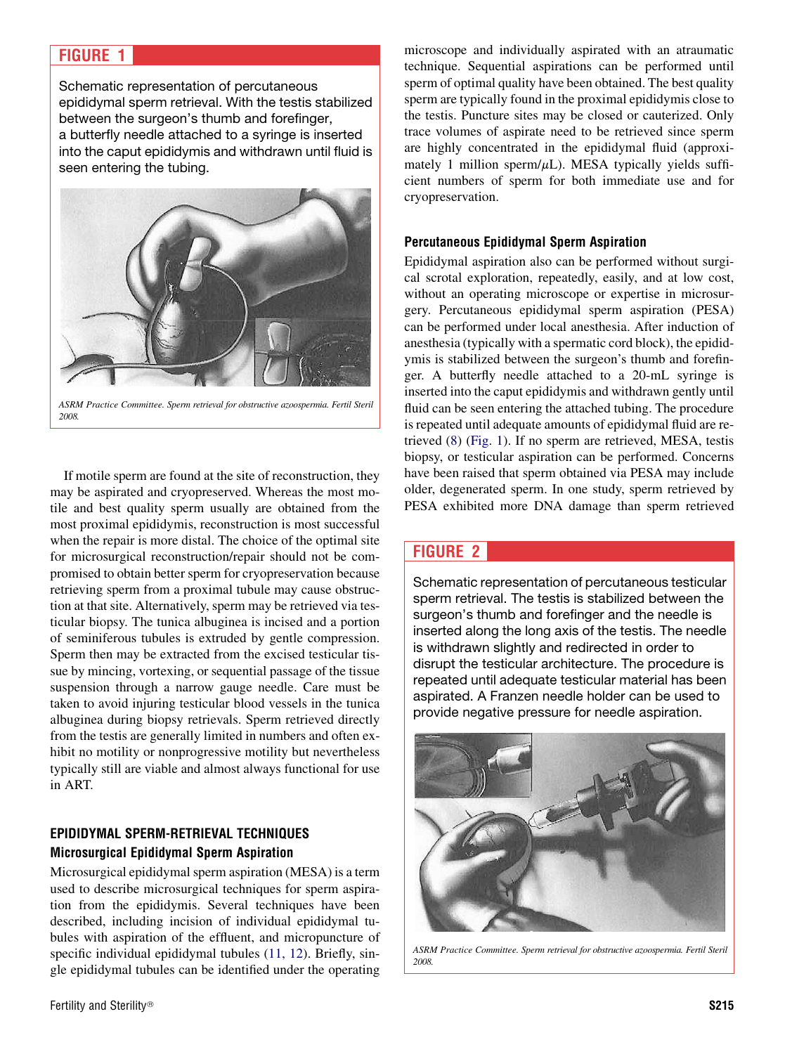# <span id="page-2-0"></span>FIGURE 1

Schematic representation of percutaneous epididymal sperm retrieval. With the testis stabilized between the surgeon's thumb and forefinger, a butterfly needle attached to a syringe is inserted into the caput epididymis and withdrawn until fluid is seen entering the tubing.



ASRM Practice Committee. Sperm retrieval for obstructive azoospermia. Fertil Steril 2008.

If motile sperm are found at the site of reconstruction, they may be aspirated and cryopreserved. Whereas the most motile and best quality sperm usually are obtained from the most proximal epididymis, reconstruction is most successful when the repair is more distal. The choice of the optimal site for microsurgical reconstruction/repair should not be compromised to obtain better sperm for cryopreservation because retrieving sperm from a proximal tubule may cause obstruction at that site. Alternatively, sperm may be retrieved via testicular biopsy. The tunica albuginea is incised and a portion of seminiferous tubules is extruded by gentle compression. Sperm then may be extracted from the excised testicular tissue by mincing, vortexing, or sequential passage of the tissue suspension through a narrow gauge needle. Care must be taken to avoid injuring testicular blood vessels in the tunica albuginea during biopsy retrievals. Sperm retrieved directly from the testis are generally limited in numbers and often exhibit no motility or nonprogressive motility but nevertheless typically still are viable and almost always functional for use in ART.

# EPIDIDYMAL SPERM-RETRIEVAL TECHNIQUES Microsurgical Epididymal Sperm Aspiration

Microsurgical epididymal sperm aspiration (MESA) is a term used to describe microsurgical techniques for sperm aspiration from the epididymis. Several techniques have been described, including incision of individual epididymal tubules with aspiration of the effluent, and micropuncture of specific individual epididymal tubules [\(11, 12\)](#page-5-0). Briefly, single epididymal tubules can be identified under the operating microscope and individually aspirated with an atraumatic technique. Sequential aspirations can be performed until sperm of optimal quality have been obtained. The best quality sperm are typically found in the proximal epididymis close to the testis. Puncture sites may be closed or cauterized. Only trace volumes of aspirate need to be retrieved since sperm are highly concentrated in the epididymal fluid (approximately 1 million sperm/ $\mu$ L). MESA typically yields sufficient numbers of sperm for both immediate use and for cryopreservation.

# Percutaneous Epididymal Sperm Aspiration

Epididymal aspiration also can be performed without surgical scrotal exploration, repeatedly, easily, and at low cost, without an operating microscope or expertise in microsurgery. Percutaneous epididymal sperm aspiration (PESA) can be performed under local anesthesia. After induction of anesthesia (typically with a spermatic cord block), the epididymis is stabilized between the surgeon's thumb and forefinger. A butterfly needle attached to a 20-mL syringe is inserted into the caput epididymis and withdrawn gently until fluid can be seen entering the attached tubing. The procedure is repeated until adequate amounts of epididymal fluid are retrieved ([8\)](#page-5-0) (Fig. 1). If no sperm are retrieved, MESA, testis biopsy, or testicular aspiration can be performed. Concerns have been raised that sperm obtained via PESA may include older, degenerated sperm. In one study, sperm retrieved by PESA exhibited more DNA damage than sperm retrieved

# FIGURE 2

Schematic representation of percutaneous testicular sperm retrieval. The testis is stabilized between the surgeon's thumb and forefinger and the needle is inserted along the long axis of the testis. The needle is withdrawn slightly and redirected in order to disrupt the testicular architecture. The procedure is repeated until adequate testicular material has been aspirated. A Franzen needle holder can be used to provide negative pressure for needle aspiration.



ASRM Practice Committee. Sperm retrieval for obstructive azoospermia. Fertil Steril 2008.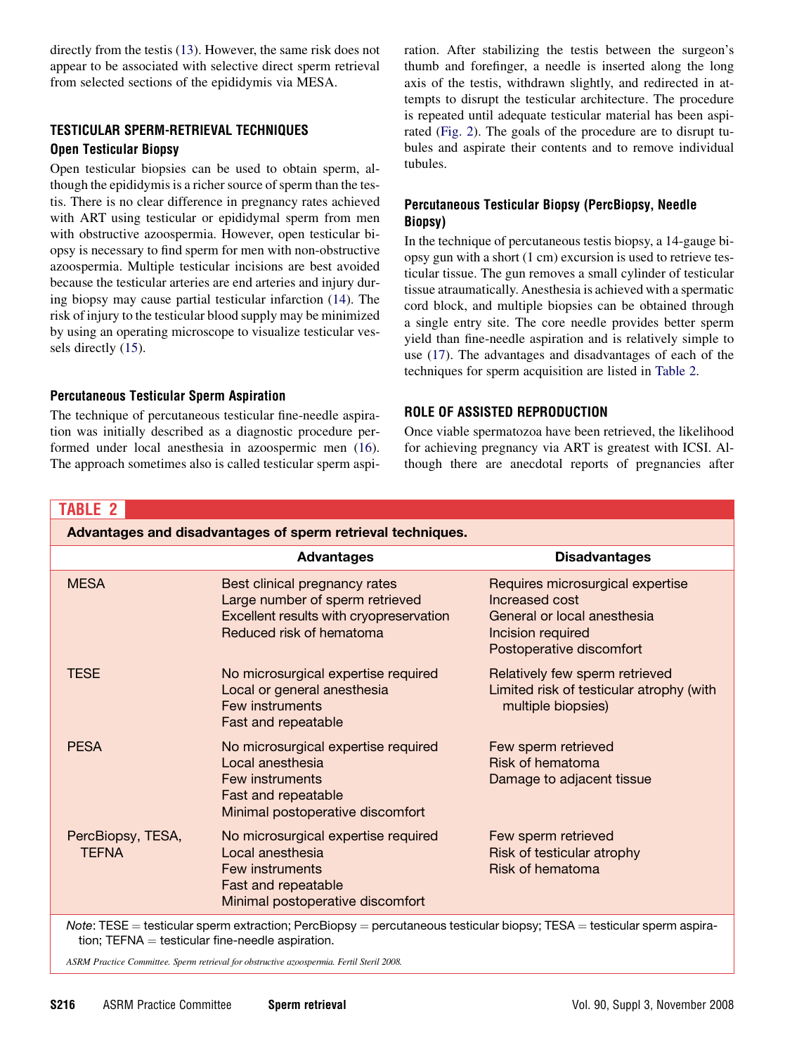directly from the testis [\(13](#page-5-0)). However, the same risk does not appear to be associated with selective direct sperm retrieval from selected sections of the epididymis via MESA.

# TESTICULAR SPERM-RETRIEVAL TECHNIQUES Open Testicular Biopsy

Open testicular biopsies can be used to obtain sperm, although the epididymis is a richer source of sperm than the testis. There is no clear difference in pregnancy rates achieved with ART using testicular or epididymal sperm from men with obstructive azoospermia. However, open testicular biopsy is necessary to find sperm for men with non-obstructive azoospermia. Multiple testicular incisions are best avoided because the testicular arteries are end arteries and injury during biopsy may cause partial testicular infarction [\(14](#page-5-0)). The risk of injury to the testicular blood supply may be minimized by using an operating microscope to visualize testicular vessels directly [\(15](#page-5-0)).

## Percutaneous Testicular Sperm Aspiration

 $T$ 

The technique of percutaneous testicular fine-needle aspiration was initially described as a diagnostic procedure performed under local anesthesia in azoospermic men [\(16](#page-5-0)). The approach sometimes also is called testicular sperm aspi-

ration. After stabilizing the testis between the surgeon's thumb and forefinger, a needle is inserted along the long axis of the testis, withdrawn slightly, and redirected in attempts to disrupt the testicular architecture. The procedure is repeated until adequate testicular material has been aspirated ([Fig. 2\)](#page-2-0). The goals of the procedure are to disrupt tubules and aspirate their contents and to remove individual tubules.

## Percutaneous Testicular Biopsy (PercBiopsy, Needle Biopsy)

In the technique of percutaneous testis biopsy, a 14-gauge biopsy gun with a short (1 cm) excursion is used to retrieve testicular tissue. The gun removes a small cylinder of testicular tissue atraumatically. Anesthesia is achieved with a spermatic cord block, and multiple biopsies can be obtained through a single entry site. The core needle provides better sperm yield than fine-needle aspiration and is relatively simple to use [\(17](#page-5-0)). The advantages and disadvantages of each of the techniques for sperm acquisition are listed in Table 2.

## ROLE OF ASSISTED REPRODUCTION

Once viable spermatozoa have been retrieved, the likelihood for achieving pregnancy via ART is greatest with ICSI. Although there are anecdotal reports of pregnancies after

| IABLE Z                                                                                                          |                                                                                                                                         |                                                                                                                                    |
|------------------------------------------------------------------------------------------------------------------|-----------------------------------------------------------------------------------------------------------------------------------------|------------------------------------------------------------------------------------------------------------------------------------|
| Advantages and disadvantages of sperm retrieval techniques.                                                      |                                                                                                                                         |                                                                                                                                    |
|                                                                                                                  | <b>Advantages</b>                                                                                                                       | <b>Disadvantages</b>                                                                                                               |
| <b>MESA</b>                                                                                                      | Best clinical pregnancy rates<br>Large number of sperm retrieved<br>Excellent results with cryopreservation<br>Reduced risk of hematoma | Requires microsurgical expertise<br>Increased cost<br>General or local anesthesia<br>Incision required<br>Postoperative discomfort |
| <b>TESE</b>                                                                                                      | No microsurgical expertise required<br>Local or general anesthesia<br>Few instruments<br>Fast and repeatable                            | Relatively few sperm retrieved<br>Limited risk of testicular atrophy (with<br>multiple biopsies)                                   |
| <b>PESA</b>                                                                                                      | No microsurgical expertise required<br>Local anesthesia<br>Few instruments<br>Fast and repeatable<br>Minimal postoperative discomfort   | Few sperm retrieved<br><b>Risk of hematoma</b><br>Damage to adjacent tissue                                                        |
| PercBiopsy, TESA,<br><b>TEFNA</b>                                                                                | No microsurgical expertise required<br>Local anesthesia<br>Few instruments<br>Fast and repeatable<br>Minimal postoperative discomfort   | Few sperm retrieved<br>Risk of testicular atrophy<br>Risk of hematoma                                                              |
| Note: TECE tootiqular aparm ovtraction: DaraPianous parqutanoque tootiqular bionous TECA tootiqular aparm appira |                                                                                                                                         |                                                                                                                                    |

 $\lambda = 1$  testicular sperm extraction; PercBiopsy  $\lambda = 1$  percutaneous testicular biopsy; TESA  $\lambda = 1$  testicular sperm aspiration; TEFNA  $=$  testicular fine-needle aspiration.

ASRM Practice Committee. Sperm retrieval for obstructive azoospermia. Fertil Steril 2008.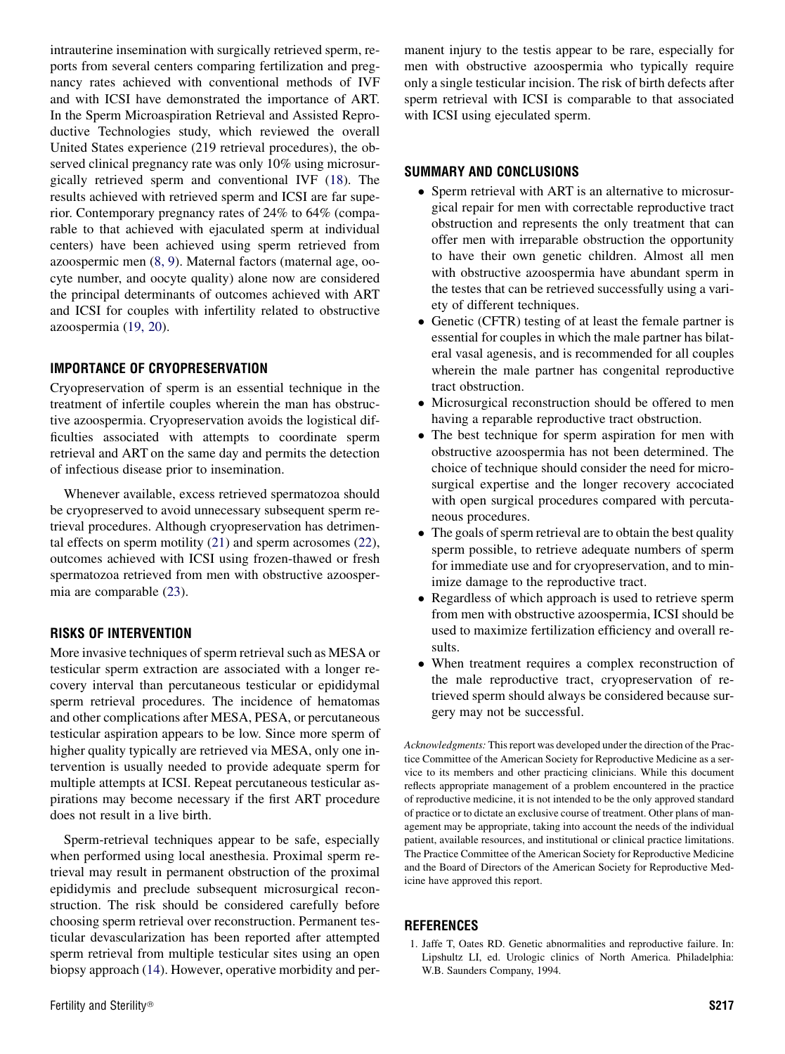<span id="page-4-0"></span>intrauterine insemination with surgically retrieved sperm, reports from several centers comparing fertilization and pregnancy rates achieved with conventional methods of IVF and with ICSI have demonstrated the importance of ART. In the Sperm Microaspiration Retrieval and Assisted Reproductive Technologies study, which reviewed the overall United States experience (219 retrieval procedures), the observed clinical pregnancy rate was only 10% using microsurgically retrieved sperm and conventional IVF [\(18](#page-5-0)). The results achieved with retrieved sperm and ICSI are far superior. Contemporary pregnancy rates of 24% to 64% (comparable to that achieved with ejaculated sperm at individual centers) have been achieved using sperm retrieved from azoospermic men [\(8, 9](#page-5-0)). Maternal factors (maternal age, oocyte number, and oocyte quality) alone now are considered the principal determinants of outcomes achieved with ART and ICSI for couples with infertility related to obstructive azoospermia ([19, 20\)](#page-5-0).

#### IMPORTANCE OF CRYOPRESERVATION

Cryopreservation of sperm is an essential technique in the treatment of infertile couples wherein the man has obstructive azoospermia. Cryopreservation avoids the logistical difficulties associated with attempts to coordinate sperm retrieval and ART on the same day and permits the detection of infectious disease prior to insemination.

Whenever available, excess retrieved spermatozoa should be cryopreserved to avoid unnecessary subsequent sperm retrieval procedures. Although cryopreservation has detrimental effects on sperm motility [\(21](#page-5-0)) and sperm acrosomes [\(22](#page-5-0)), outcomes achieved with ICSI using frozen-thawed or fresh spermatozoa retrieved from men with obstructive azoospermia are comparable ([23\)](#page-5-0).

#### RISKS OF INTERVENTION

More invasive techniques of sperm retrieval such as MESA or testicular sperm extraction are associated with a longer recovery interval than percutaneous testicular or epididymal sperm retrieval procedures. The incidence of hematomas and other complications after MESA, PESA, or percutaneous testicular aspiration appears to be low. Since more sperm of higher quality typically are retrieved via MESA, only one intervention is usually needed to provide adequate sperm for multiple attempts at ICSI. Repeat percutaneous testicular aspirations may become necessary if the first ART procedure does not result in a live birth.

Sperm-retrieval techniques appear to be safe, especially when performed using local anesthesia. Proximal sperm retrieval may result in permanent obstruction of the proximal epididymis and preclude subsequent microsurgical reconstruction. The risk should be considered carefully before choosing sperm retrieval over reconstruction. Permanent testicular devascularization has been reported after attempted sperm retrieval from multiple testicular sites using an open biopsy approach ([14\)](#page-5-0). However, operative morbidity and permanent injury to the testis appear to be rare, especially for men with obstructive azoospermia who typically require only a single testicular incision. The risk of birth defects after sperm retrieval with ICSI is comparable to that associated with ICSI using ejeculated sperm.

#### SUMMARY AND CONCLUSIONS

- Sperm retrieval with ART is an alternative to microsurgical repair for men with correctable reproductive tract obstruction and represents the only treatment that can offer men with irreparable obstruction the opportunity to have their own genetic children. Almost all men with obstructive azoospermia have abundant sperm in the testes that can be retrieved successfully using a variety of different techniques.
- Genetic (CFTR) testing of at least the female partner is essential for couples in which the male partner has bilateral vasal agenesis, and is recommended for all couples wherein the male partner has congenital reproductive tract obstruction.
- Microsurgical reconstruction should be offered to men having a reparable reproductive tract obstruction.
- The best technique for sperm aspiration for men with obstructive azoospermia has not been determined. The choice of technique should consider the need for microsurgical expertise and the longer recovery accociated with open surgical procedures compared with percutaneous procedures.
- The goals of sperm retrieval are to obtain the best quality sperm possible, to retrieve adequate numbers of sperm for immediate use and for cryopreservation, and to minimize damage to the reproductive tract.
- Regardless of which approach is used to retrieve sperm from men with obstructive azoospermia, ICSI should be used to maximize fertilization efficiency and overall results.
- When treatment requires a complex reconstruction of the male reproductive tract, cryopreservation of retrieved sperm should always be considered because surgery may not be successful.

Acknowledgments: This report was developed under the direction of the Practice Committee of the American Society for Reproductive Medicine as a service to its members and other practicing clinicians. While this document reflects appropriate management of a problem encountered in the practice of reproductive medicine, it is not intended to be the only approved standard of practice or to dictate an exclusive course of treatment. Other plans of management may be appropriate, taking into account the needs of the individual patient, available resources, and institutional or clinical practice limitations. The Practice Committee of the American Society for Reproductive Medicine and the Board of Directors of the American Society for Reproductive Medicine have approved this report.

#### REFERENCES

1. Jaffe T, Oates RD. Genetic abnormalities and reproductive failure. In: Lipshultz LI, ed. Urologic clinics of North America. Philadelphia: W.B. Saunders Company, 1994.